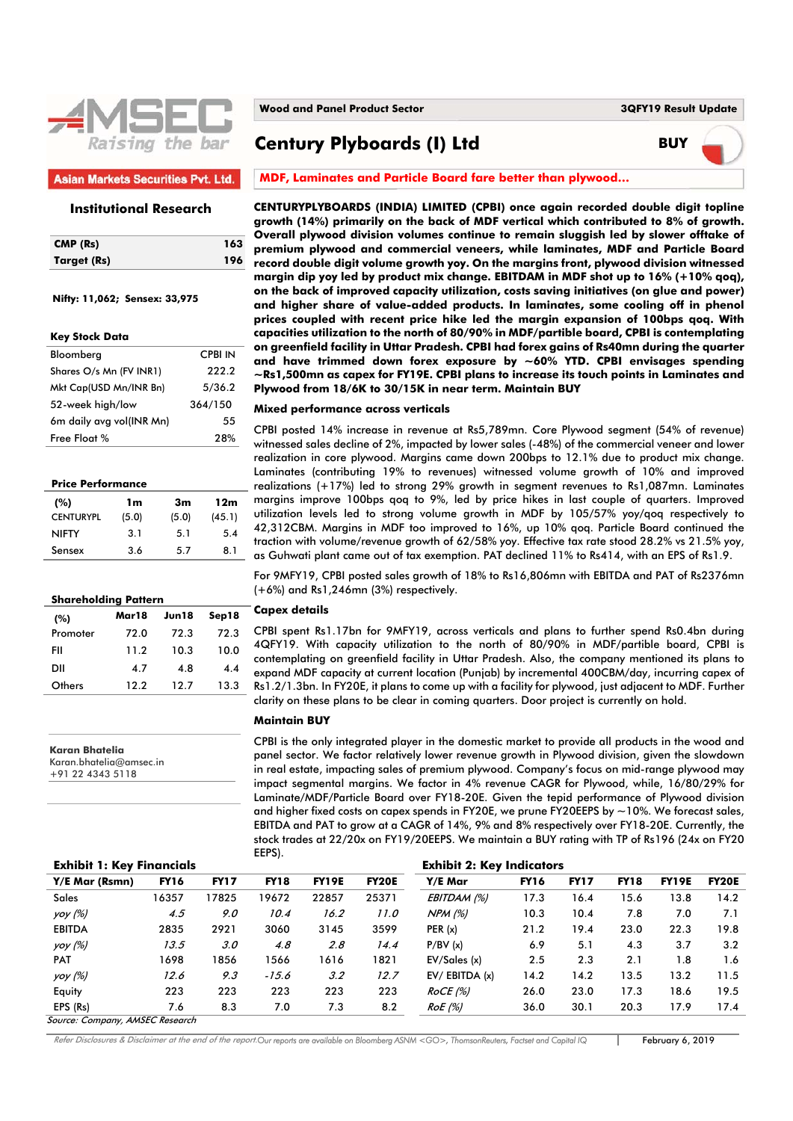

## **Asian Markets Securities Pvt. Ltd.**

### **Institutional Research**

| CMP (Rs)    | 163 |
|-------------|-----|
| Target (Rs) | 196 |

 **Nifty: 11,062; Sensex: 33,975** 

| <b>Key Stock Data</b>    |         |
|--------------------------|---------|
| Bloomberg                | CPBI IN |
| Shares O/s Mn (FV INR1)  | 222.2   |
| Mkt Cap(USD Mn/INR Bn)   | 5/36.2  |
| 52-week high/low         | 364/150 |
| 6m daily avg vol(INR Mn) | 55      |
| Free Float %             | 28%     |

#### **Price Performance**

| (%)              | 1m    | 3m    | 12m    |
|------------------|-------|-------|--------|
| <b>CENTURYPL</b> | (5.0) | (5.0) | (45.1) |
| <b>NIFTY</b>     | 3.1   | 5.1   | 5.4    |
| Sensex           | 36    | 5.7   | 81     |

#### **Shareholding Pattern**

| (%)      | Mar18 | Jun18 | Sep18 |
|----------|-------|-------|-------|
| Promoter | 72.0  | 72.3  | 72.3  |
| FII      | 11.2  | 10.3  | 10.0  |
| DII      | 4.7   | 4.8   | 4.4   |
| Others   | 122   | 12.7  | 13.3  |

**Karan Bhatelia**  Karan.bhatelia@amsec.in +91 22 4343 5118

**Century Plyboards (I) Ltd BUY**



#### **MDF, Laminates and Particle Board fare better than plywood…**

**CENTURYPLYBOARDS (INDIA) LIMITED (CPBI) once again recorded double digit topline growth (14%) primarily on the back of MDF vertical which contributed to 8% of growth. Overall plywood division volumes continue to remain sluggish led by slower offtake of premium plywood and commercial veneers, while laminates, MDF and Particle Board record double digit volume growth yoy. On the margins front, plywood division witnessed margin dip yoy led by product mix change. EBITDAM in MDF shot up to 16% (+10% qoq), on the back of improved capacity utilization, costs saving initiatives (on glue and power) and higher share of value-added products. In laminates, some cooling off in phenol prices coupled with recent price hike led the margin expansion of 100bps qoq. With capacities utilization to the north of 80/90% in MDF/partible board, CPBI is contemplating on greenfield facility in Uttar Pradesh. CPBI had forex gains of Rs40mn during the quarter and have trimmed down forex exposure by ~60% YTD. CPBI envisages spending ~Rs1,500mn as capex for FY19E. CPBI plans to increase its touch points in Laminates and Plywood from 18/6K to 30/15K in near term. Maintain BUY** 

#### **Mixed performance across verticals**

CPBI posted 14% increase in revenue at Rs5,789mn. Core Plywood segment (54% of revenue) witnessed sales decline of 2%, impacted by lower sales (-48%) of the commercial veneer and lower realization in core plywood. Margins came down 200bps to 12.1% due to product mix change. Laminates (contributing 19% to revenues) witnessed volume growth of 10% and improved realizations (+17%) led to strong 29% growth in segment revenues to Rs1,087mn. Laminates margins improve 100bps qoq to 9%, led by price hikes in last couple of quarters. Improved utilization levels led to strong volume growth in MDF by 105/57% yoy/qoq respectively to 42,312CBM. Margins in MDF too improved to 16%, up 10% qoq. Particle Board continued the traction with volume/revenue growth of 62/58% yoy. Effective tax rate stood 28.2% vs 21.5% yoy, as Guhwati plant came out of tax exemption. PAT declined 11% to Rs414, with an EPS of Rs1.9.

For 9MFY19, CPBI posted sales growth of 18% to Rs16,806mn with EBITDA and PAT of Rs2376mn (+6%) and Rs1,246mn (3%) respectively.

#### **Capex details**

CPBI spent Rs1.17bn for 9MFY19, across verticals and plans to further spend Rs0.4bn during 4QFY19. With capacity utilization to the north of 80/90% in MDF/partible board, CPBI is contemplating on greenfield facility in Uttar Pradesh. Also, the company mentioned its plans to expand MDF capacity at current location (Punjab) by incremental 400CBM/day, incurring capex of Rs1.2/1.3bn. In FY20E, it plans to come up with a facility for plywood, just adjacent to MDF. Further clarity on these plans to be clear in coming quarters. Door project is currently on hold.

#### **Maintain BUY**

CPBI is the only integrated player in the domestic market to provide all products in the wood and panel sector. We factor relatively lower revenue growth in Plywood division, given the slowdown in real estate, impacting sales of premium plywood. Company's focus on mid-range plywood may impact segmental margins. We factor in 4% revenue CAGR for Plywood, while, 16/80/29% for Laminate/MDF/Particle Board over FY18-20E. Given the tepid performance of Plywood division and higher fixed costs on capex spends in FY20E, we prune FY20EEPS by  $\sim$  10%. We forecast sales, EBITDA and PAT to grow at a CAGR of 14%, 9% and 8% respectively over FY18-20E. Currently, the stock trades at 22/20x on FY19/20EEPS. We maintain a BUY rating with TP of Rs196 (24x on FY20 EEPS).

| <b>Exhibit 1: Key Financials</b>                                                                                                                                                                                                                               |             |             |             |              |              | <b>Exhibit 2: Key Indicators</b> |             |             |             |              |              |
|----------------------------------------------------------------------------------------------------------------------------------------------------------------------------------------------------------------------------------------------------------------|-------------|-------------|-------------|--------------|--------------|----------------------------------|-------------|-------------|-------------|--------------|--------------|
| Y/E Mar (Rsmn)                                                                                                                                                                                                                                                 | <b>FY16</b> | <b>FY17</b> | <b>FY18</b> | <b>FY19E</b> | <b>FY20E</b> | Y/E Mar                          | <b>FY16</b> | <b>FY17</b> | <b>FY18</b> | <b>FY19E</b> | <b>FY20E</b> |
| <b>Sales</b>                                                                                                                                                                                                                                                   | 16357       | 17825       | 19672       | 22857        | 25371        | EBITDAM (%)                      | 17.3        | 16.4        | 15.6        | 13.8         | 14.2         |
| yoy (%)                                                                                                                                                                                                                                                        | 4.5         | 9.0         | 10.4        | 16.2         | 11.0         | NPM (%)                          | 10.3        | 10.4        | 7.8         | 7.0          | 7.1          |
| <b>EBITDA</b>                                                                                                                                                                                                                                                  | 2835        | 2921        | 3060        | 3145         | 3599         | PER(x)                           | 21.2        | 19.4        | 23.0        | 22.3         | 19.8         |
| yoy (%)                                                                                                                                                                                                                                                        | 13.5        | 3.0         | 4.8         | 2.8          | 14.4         | P/BV(x)                          | 6.9         | 5.1         | 4.3         | 3.7          | 3.2          |
| <b>PAT</b>                                                                                                                                                                                                                                                     | 1698        | 1856        | 1566        | 1616         | 1821         | EV/Sales(x)                      | 2.5         | 2.3         | 2.1         | 1.8          | 1.6          |
| yoy (%)                                                                                                                                                                                                                                                        | 12.6        | 9.3         | $-15.6$     | 3.2          | 12.7         | $EV/$ EBITDA $(x)$               | 14.2        | 14.2        | 13.5        | 13.2         | 11.5         |
| Equity                                                                                                                                                                                                                                                         | 223         | 223         | 223         | 223          | 223          | ROCE(%)                          | 26.0        | 23.0        | 17.3        | 18.6         | 19.5         |
| EPS (Rs)                                                                                                                                                                                                                                                       | 7.6         | 8.3         | 7.0         | 7.3          | 8.2          | RoE (%)                          | 36.0        | 30.1        | 20.3        | 17.9         | 17.4         |
| $C_{2}$ $C_{3}$ $C_{4}$ $C_{5}$ $C_{6}$ $C_{7}$ $C_{8}$ $C_{1}$ $C_{1}$ $C_{1}$ $C_{1}$ $C_{2}$ $C_{3}$ $C_{4}$ $C_{5}$ $C_{6}$ $D_{7}$ $C_{7}$ $D_{8}$ $C_{8}$ $D_{9}$ $C_{9}$ $D_{1}$ $D_{1}$ $D_{1}$ $D_{1}$ $D_{1}$ $D_{1}$ $D_{1}$ $D_{1}$ $D_{1}$ $D_{1$ |             |             |             |              |              |                                  |             |             |             |              |              |

ource: Company, AMSEC Research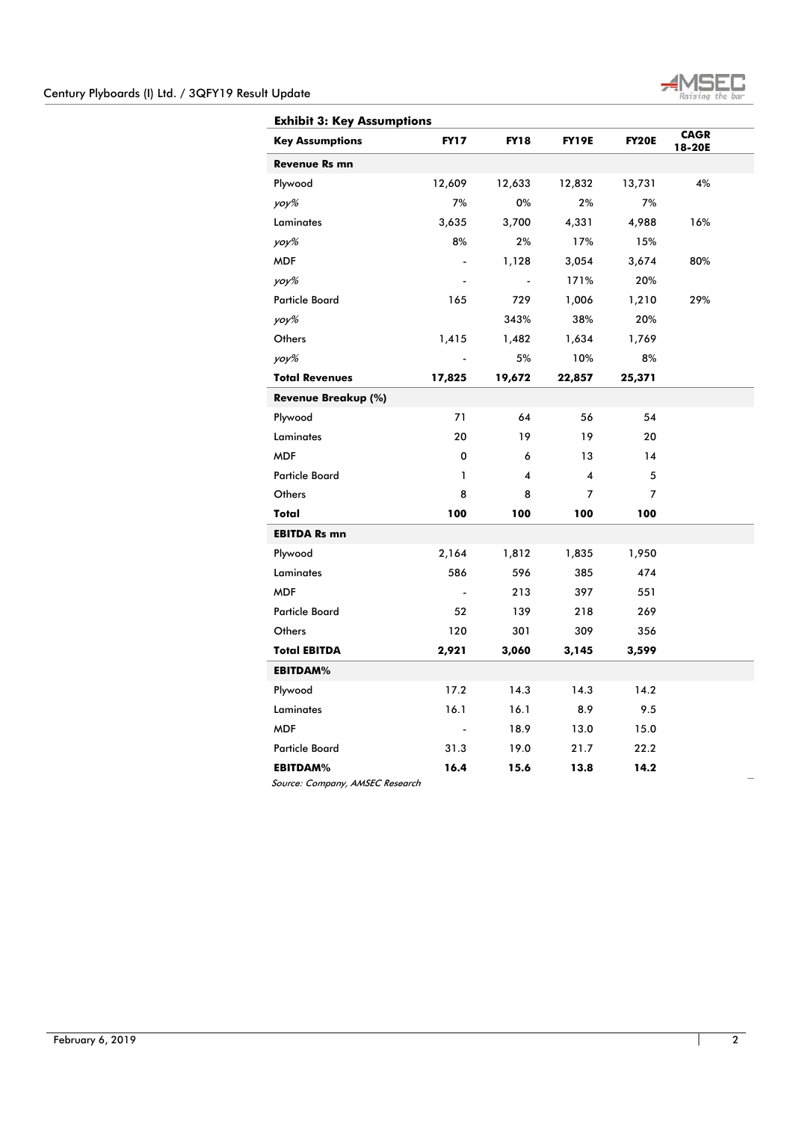

| <b>Exhibit 3: Key Assumptions</b> |             |             |              |              |                       |  |  |
|-----------------------------------|-------------|-------------|--------------|--------------|-----------------------|--|--|
| <b>Key Assumptions</b>            | <b>FY17</b> | <b>FY18</b> | <b>FY19E</b> | <b>FY20E</b> | <b>CAGR</b><br>18-20E |  |  |
| <b>Revenue Rs mn</b>              |             |             |              |              |                       |  |  |
| Plywood                           | 12,609      | 12,633      | 12,832       | 13,731       | 4%                    |  |  |
| yoy%                              | 7%          | 0%          | 2%           | 7%           |                       |  |  |
| Laminates                         | 3,635       | 3,700       | 4,331        | 4,988        | 16%                   |  |  |
| yoy%                              | 8%          | 2%          | 17%          | 15%          |                       |  |  |
| <b>MDF</b>                        |             | 1,128       | 3,054        | 3,674        | 80%                   |  |  |
| yoy%                              |             |             | 171%         | 20%          |                       |  |  |
| <b>Particle Board</b>             | 165         | 729         | 1,006        | 1,210        | 29%                   |  |  |
| yoy%                              |             | 343%        | 38%          | 20%          |                       |  |  |
| Others                            | 1,415       | 1,482       | 1,634        | 1,769        |                       |  |  |
| yoy%                              |             | 5%          | 10%          | 8%           |                       |  |  |
| <b>Total Revenues</b>             | 17,825      | 19,672      | 22,857       | 25,371       |                       |  |  |
| Revenue Breakup (%)               |             |             |              |              |                       |  |  |
| Plywood                           | 71          | 64          | 56           | 54           |                       |  |  |
| Laminates                         | 20          | 19          | 19           | 20           |                       |  |  |
| <b>MDF</b>                        | 0           | 6           | 13           | 14           |                       |  |  |
| <b>Particle Board</b>             | 1           | 4           | 4            | 5            |                       |  |  |
| Others                            | 8           | 8           | 7            | 7            |                       |  |  |
| Total                             | 100         | 100         | 100          | 100          |                       |  |  |
| <b>EBITDA Rs mn</b>               |             |             |              |              |                       |  |  |
| Plywood                           | 2,164       | 1,812       | 1,835        | 1,950        |                       |  |  |
| Laminates                         | 586         | 596         | 385          | 474          |                       |  |  |
| <b>MDF</b>                        |             | 213         | 397          | 551          |                       |  |  |
| <b>Particle Board</b>             | 52          | 139         | 218          | 269          |                       |  |  |
| Others                            | 120         | 301         | 309          | 356          |                       |  |  |
| <b>Total EBITDA</b>               | 2,921       | 3,060       | 3,145        | 3,599        |                       |  |  |
| <b>EBITDAM%</b>                   |             |             |              |              |                       |  |  |
| Plywood                           | 17.2        | 14.3        | 14.3         | 14.2         |                       |  |  |
| Laminates                         | 16.1        | 16.1        | 8.9          | 9.5          |                       |  |  |
| <b>MDF</b>                        |             | 18.9        | 13.0         | 15.0         |                       |  |  |
| <b>Particle Board</b>             | 31.3        | 19.0        | 21.7         | 22.2         |                       |  |  |
| <b>EBITDAM%</b>                   | 16.4        | 15.6        | 13.8         | 14.2         |                       |  |  |

Source: Company, AMSEC Research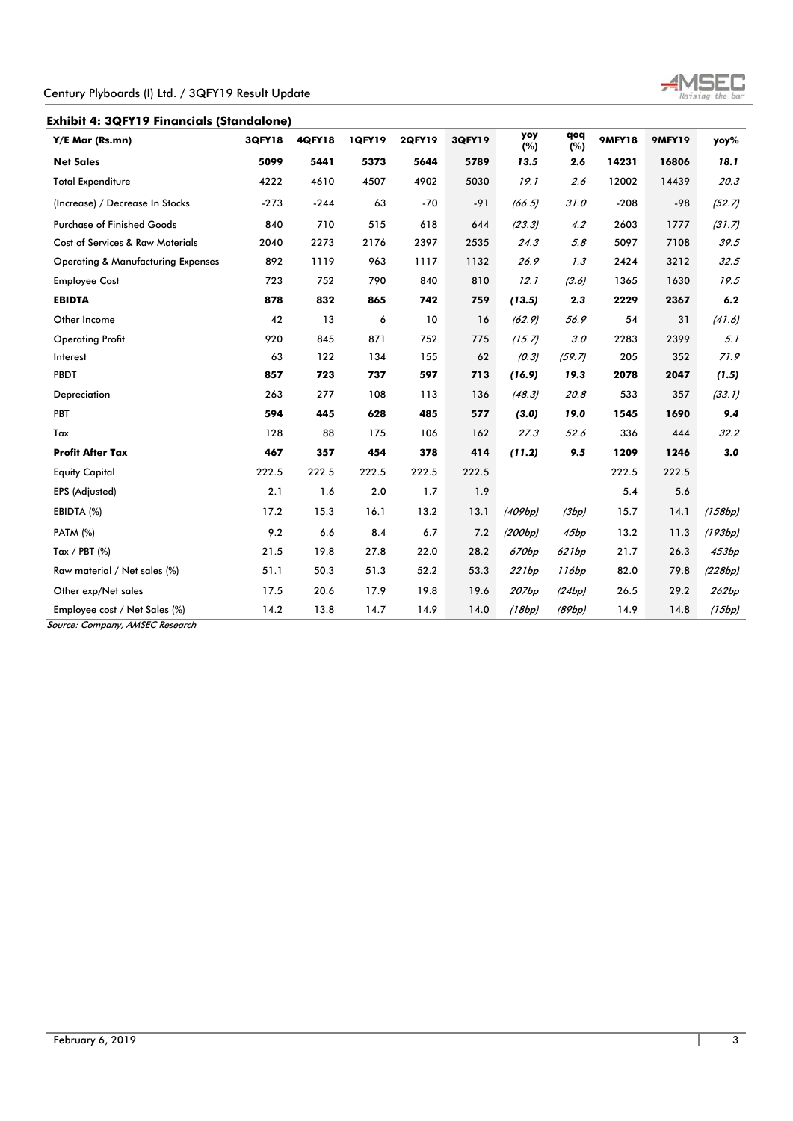

**Exhibit 4: 3QFY19 Financials (Standalone)** 

 $\overline{a}$ 

| Y/E Mar (Rs.mn)                               | <b>3QFY18</b> | <b>4QFY18</b> | <b>1QFY19</b> | <b>2QFY19</b> | <b>3QFY19</b> | yoy<br>(%) | qoq<br>(%) | <b>9MFY18</b> | <b>9MFY19</b> | yoy%    |
|-----------------------------------------------|---------------|---------------|---------------|---------------|---------------|------------|------------|---------------|---------------|---------|
| <b>Net Sales</b>                              | 5099          | 5441          | 5373          | 5644          | 5789          | 13.5       | 2.6        | 14231         | 16806         | 18.1    |
| <b>Total Expenditure</b>                      | 4222          | 4610          | 4507          | 4902          | 5030          | 19.1       | 2.6        | 12002         | 14439         | 20.3    |
| (Increase) / Decrease In Stocks               | $-273$        | $-244$        | 63            | $-70$         | $-91$         | (66.5)     | 31.0       | $-208$        | $-98$         | (52.7)  |
| <b>Purchase of Finished Goods</b>             | 840           | 710           | 515           | 618           | 644           | (23.3)     | 4.2        | 2603          | 1777          | (31.7)  |
| Cost of Services & Raw Materials              | 2040          | 2273          | 2176          | 2397          | 2535          | 24.3       | 5.8        | 5097          | 7108          | 39.5    |
| <b>Operating &amp; Manufacturing Expenses</b> | 892           | 1119          | 963           | 1117          | 1132          | 26.9       | 1.3        | 2424          | 3212          | 32.5    |
| <b>Employee Cost</b>                          | 723           | 752           | 790           | 840           | 810           | 12.1       | (3.6)      | 1365          | 1630          | 19.5    |
| <b>EBIDTA</b>                                 | 878           | 832           | 865           | 742           | 759           | (13.5)     | 2.3        | 2229          | 2367          | 6.2     |
| Other Income                                  | 42            | 13            | 6             | 10            | 16            | (62.9)     | 56.9       | 54            | 31            | (41.6)  |
| <b>Operating Profit</b>                       | 920           | 845           | 871           | 752           | 775           | (15.7)     | 3.0        | 2283          | 2399          | 5.1     |
| Interest                                      | 63            | 122           | 134           | 155           | 62            | (0.3)      | (59.7)     | 205           | 352           | 71.9    |
| <b>PBDT</b>                                   | 857           | 723           | 737           | 597           | 713           | (16.9)     | 19.3       | 2078          | 2047          | (1.5)   |
| Depreciation                                  | 263           | 277           | 108           | 113           | 136           | (48.3)     | 20.8       | 533           | 357           | (33.1)  |
| PBT                                           | 594           | 445           | 628           | 485           | 577           | (3.0)      | 19.0       | 1545          | 1690          | 9.4     |
| Tax                                           | 128           | 88            | 175           | 106           | 162           | 27.3       | 52.6       | 336           | 444           | 32.2    |
| <b>Profit After Tax</b>                       | 467           | 357           | 454           | 378           | 414           | (11.2)     | 9.5        | 1209          | 1246          | 3.0     |
| <b>Equity Capital</b>                         | 222.5         | 222.5         | 222.5         | 222.5         | 222.5         |            |            | 222.5         | 222.5         |         |
| EPS (Adjusted)                                | 2.1           | 1.6           | 2.0           | 1.7           | 1.9           |            |            | 5.4           | 5.6           |         |
| EBIDTA (%)                                    | 17.2          | 15.3          | 16.1          | 13.2          | 13.1          | (409bp)    | (3bp)      | 15.7          | 14.1          | (158bp) |
| <b>PATM (%)</b>                               | 9.2           | 6.6           | 8.4           | 6.7           | 7.2           | (200bp)    | 45bp       | 13.2          | 11.3          | (193bp) |
| Tax / PBT $(%)$                               | 21.5          | 19.8          | 27.8          | 22.0          | 28.2          | 670bp      | 621bp      | 21.7          | 26.3          | 453bp   |
| Raw material / Net sales (%)                  | 51.1          | 50.3          | 51.3          | 52.2          | 53.3          | 221bp      | 116bp      | 82.0          | 79.8          | (228bp) |
| Other exp/Net sales                           | 17.5          | 20.6          | 17.9          | 19.8          | 19.6          | 207bp      | (24bp)     | 26.5          | 29.2          | 262bp   |
| Employee cost / Net Sales (%)                 | 14.2          | 13.8          | 14.7          | 14.9          | 14.0          | (18bp)     | (89bp)     | 14.9          | 14.8          | (15bp)  |

Source: Company, AMSEC Research

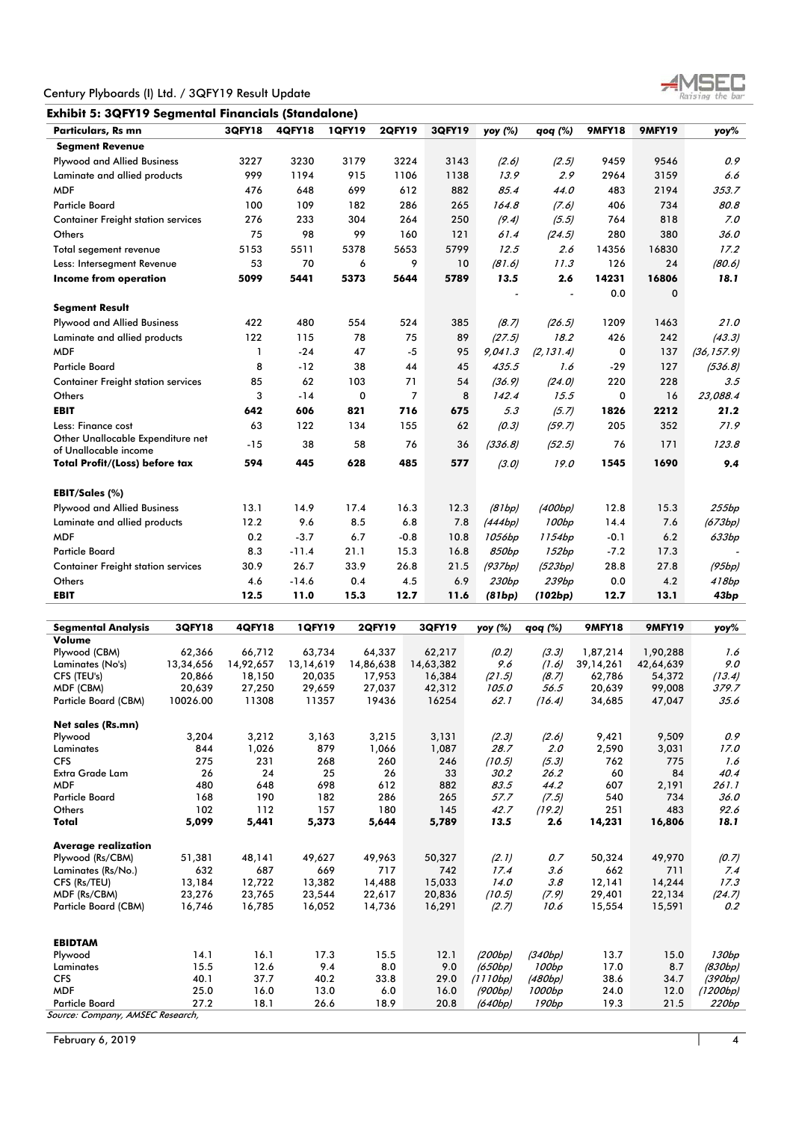

| <b>Particulars, Rs mn</b>                                  | <b>3QFY18</b> | <b>4QFY18</b> | <b>1QFY19</b> | <b>2QFY19</b> | 3QFY19 | yoy (%)           | qoq (%)    | <b>9MFY18</b> | <b>9MFY19</b> | yoy%        |
|------------------------------------------------------------|---------------|---------------|---------------|---------------|--------|-------------------|------------|---------------|---------------|-------------|
| <b>Segment Revenue</b>                                     |               |               |               |               |        |                   |            |               |               |             |
| <b>Plywood and Allied Business</b>                         | 3227          | 3230          | 3179          | 3224          | 3143   | (2.6)             | (2.5)      | 9459          | 9546          | 0.9         |
| Laminate and allied products                               | 999           | 1194          | 915           | 1106          | 1138   | 13.9              | 2.9        | 2964          | 3159          | 6.6         |
| <b>MDF</b>                                                 | 476           | 648           | 699           | 612           | 882    | 85.4              | 44.0       | 483           | 2194          | 353.7       |
| <b>Particle Board</b>                                      | 100           | 109           | 182           | 286           | 265    | 164.8             | (7.6)      | 406           | 734           | 80.8        |
| <b>Container Freight station services</b>                  | 276           | 233           | 304           | 264           | 250    | (9.4)             | (5.5)      | 764           | 818           | 7.0         |
| Others                                                     | 75            | 98            | 99            | 160           | 121    | 61.4              | (24.5)     | 280           | 380           | 36.0        |
| Total segement revenue                                     | 5153          | 5511          | 5378          | 5653          | 5799   | 12.5              | 2.6        | 14356         | 16830         | 17.2        |
| Less: Intersegment Revenue                                 | 53            | 70            | 6             | 9             | 10     | (81.6)            | 11.3       | 126           | 24            | (80.6)      |
| <b>Income from operation</b>                               | 5099          | 5441          | 5373          | 5644          | 5789   | 13.5              | 2.6        | 14231         | 16806         | 18.1        |
|                                                            |               |               |               |               |        |                   |            | 0.0           | $\Omega$      |             |
| <b>Segment Result</b>                                      |               |               |               |               |        |                   |            |               |               |             |
| <b>Plywood and Allied Business</b>                         | 422           | 480           | 554           | 524           | 385    | (8.7)             | (26.5)     | 1209          | 1463          | 21.0        |
| Laminate and allied products                               | 122           | 115           | 78            | 75            | 89     | (27.5)            | 18.2       | 426           | 242           | (43.3)      |
| <b>MDF</b>                                                 | 1             | $-24$         | 47            | $-5$          | 95     | 9,041.3           | (2, 131.4) | 0             | 137           | (36, 157.9) |
| <b>Particle Board</b>                                      | 8             | $-12$         | 38            | 44            | 45     | 435.5             | 1.6        | $-29$         | 127           | (536.8)     |
| <b>Container Freight station services</b>                  | 85            | 62            | 103           | 71            | 54     | (36.9)            | (24.0)     | 220           | 228           | 3.5         |
| Others                                                     | 3             | $-14$         | 0             | 7             | 8      | 142.4             | 15.5       | 0             | 16            | 23,088.4    |
| <b>EBIT</b>                                                | 642           | 606           | 821           | 716           | 675    | 5.3               | (5.7)      | 1826          | 2212          | 21.2        |
| Less: Finance cost                                         | 63            | 122           | 134           | 155           | 62     | (0.3)             | (59.7)     | 205           | 352           | 71.9        |
| Other Unallocable Expenditure net<br>of Unallocable income | $-15$         | 38            | 58            | 76            | 36     | (336.8)           | (52.5)     | 76            | 171           | 123.8       |
| <b>Total Profit/(Loss) before tax</b>                      | 594           | 445           | 628           | 485           | 577    | (3.0)             | 19.0       | 1545          | 1690          | 9.4         |
| EBIT/Sales (%)                                             |               |               |               |               |        |                   |            |               |               |             |
| <b>Plywood and Allied Business</b>                         | 13.1          | 14.9          | 17.4          | 16.3          | 12.3   | (81bp)            | (400bp)    | 12.8          | 15.3          | 255bp       |
| Laminate and allied products                               | 12.2          | 9.6           | 8.5           | 6.8           | 7.8    | (444bp)           | 100bp      | 14.4          | 7.6           | (673bp)     |
| <b>MDF</b>                                                 | 0.2           | $-3.7$        | 6.7           | $-0.8$        | 10.8   | 1056bp            | 1154bp     | $-0.1$        | 6.2           | 633bp       |
| <b>Particle Board</b>                                      | 8.3           | $-11.4$       | 21.1          | 15.3          | 16.8   | 850bp             | 152bp      | $-7.2$        | 17.3          |             |
| <b>Container Freight station services</b>                  | 30.9          | 26.7          | 33.9          | 26.8          | 21.5   | (937bp)           | (523bp)    | 28.8          | 27.8          | (95bp)      |
| Others                                                     | 4.6           | $-14.6$       | 0.4           | 4.5           | 6.9    | 230 <sub>bp</sub> | 239bp      | 0.0           | 4.2           | 418bp       |
| <b>EBIT</b>                                                | 12.5          | 11.0          | 15.3          | 12.7          | 11.6   | (81bp)            | (102bp)    | 12.7          | 13.1          | 43bp        |

| <b>Segmental Analysis</b>        | 3QFY18    | <b>4QFY18</b> | <b>1QFY19</b> | <b>2QFY19</b> | 3QFY19    | yoy (%)  | qoq (%)           | <b>9MFY18</b> | <b>9MFY19</b> | yoy%     |
|----------------------------------|-----------|---------------|---------------|---------------|-----------|----------|-------------------|---------------|---------------|----------|
| Volume                           |           |               |               |               |           |          |                   |               |               |          |
| Plywood (CBM)                    | 62,366    | 66,712        | 63,734        | 64,337        | 62,217    | (0.2)    | (3.3)             | 1,87,214      | 1,90,288      | 1.6      |
| Laminates (No's)                 | 13,34,656 | 14,92,657     | 13,14,619     | 14,86,638     | 14,63,382 | 9.6      | (1.6)             | 39, 14, 261   | 42,64,639     | 9.0      |
| CFS (TEU's)                      | 20.866    | 18,150        | 20,035        | 17,953        | 16,384    | (21.5)   | (8.7)             | 62,786        | 54,372        | (13.4)   |
| MDF (CBM)                        | 20,639    | 27,250        | 29,659        | 27,037        | 42,312    | 105.0    | 56.5              | 20,639        | 99,008        | 379.7    |
| Particle Board (CBM)             | 10026.00  | 11308         | 11357         | 19436         | 16254     | 62.1     | (16.4)            | 34,685        | 47,047        | 35.6     |
| Net sales (Rs.mn)                |           |               |               |               |           |          |                   |               |               |          |
| Plywood                          | 3,204     | 3,212         | 3,163         | 3,215         | 3,131     | (2.3)    | (2.6)             | 9,421         | 9,509         | 0.9      |
| Laminates                        | 844       | 1,026         | 879           | 1,066         | 1,087     | 28.7     | 2.0               | 2,590         | 3,031         | 17.0     |
| <b>CFS</b>                       | 275       | 231           | 268           | 260           | 246       | (10.5)   | (5.3)             | 762           | 775           | 1.6      |
| <b>Extra Grade Lam</b>           | 26        | 24            | 25            | 26            | 33        | 30.2     | 26.2              | 60            | 84            | 40.4     |
| <b>MDF</b>                       | 480       | 648           | 698           | 612           | 882       | 83.5     | 44.2              | 607           | 2,191         | 261.1    |
| <b>Particle Board</b>            | 168       | 190           | 182           | 286           | 265       | 57.7     | (7.5)             | 540           | 734           | 36.0     |
| Others                           | 102       | 112           | 157           | 180           | 145       | 42.7     | (19.2)            | 251           | 483           | 92.6     |
| Total                            | 5,099     | 5,441         | 5,373         | 5,644         | 5,789     | 13.5     | 2.6               | 14,231        | 16,806        | 18.1     |
| <b>Average realization</b>       |           |               |               |               |           |          |                   |               |               |          |
| Plywood (Rs/CBM)                 | 51,381    | 48,141        | 49,627        | 49,963        | 50,327    | (2.1)    | 0.7               | 50,324        | 49,970        | (0.7)    |
| Laminates (Rs/No.)               | 632       | 687           | 669           | 717           | 742       | 17.4     | 3.6               | 662           | 711           | 7.4      |
| CFS (Rs/TEU)                     | 13,184    | 12,722        | 13,382        | 14,488        | 15,033    | 14.0     | 3.8               | 12,141        | 14,244        | 17.3     |
| MDF (Rs/CBM)                     | 23,276    | 23,765        | 23,544        | 22,617        | 20,836    | (10.5)   | (7.9)             | 29,401        | 22,134        | (24.7)   |
| Particle Board (CBM)             | 16,746    | 16,785        | 16,052        | 14,736        | 16,291    | (2.7)    | 10.6              | 15,554        | 15,591        | 0.2      |
| <b>EBIDTAM</b>                   |           |               |               |               |           |          |                   |               |               |          |
| Plywood                          | 14.1      | 16.1          | 17.3          | 15.5          | 12.1      | (200bp)  | (340bp)           | 13.7          | 15.0          | 130bp    |
| Laminates                        | 15.5      | 12.6          | 9.4           | 8.0           |           |          |                   |               | 8.7           |          |
|                                  |           |               |               |               | 9.0       | (650bp)  | 100bp             | 17.0          |               | (830bp)  |
| <b>CFS</b>                       | 40.1      | 37.7          | 40.2          | 33.8          | 29.0      | (1110bp) | (480bp)           | 38.6          | 34.7          | (390bp)  |
| <b>MDF</b>                       | 25.0      | 16.0          | 13.0          | 6.0           | 16.0      | (900bp)  | 1000bp            | 24.0          | 12.0          | (1200bp) |
| <b>Particle Board</b>            | 27.2      | 18.1          | 26.6          | 18.9          | 20.8      | (640bp)  | 190 <sub>bp</sub> | 19.3          | 21.5          | 220bp    |
| Source: Company, AMSEC Research, |           |               |               |               |           |          |                   |               |               |          |

February 6, 2019 **4**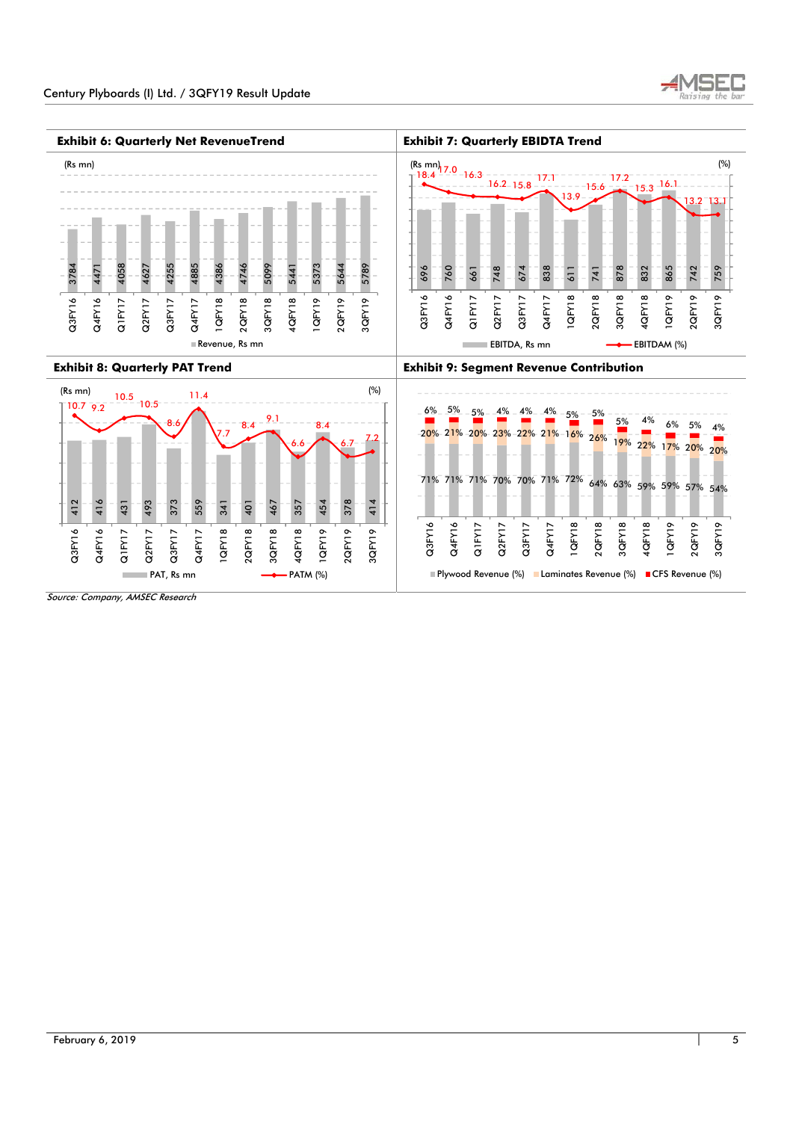

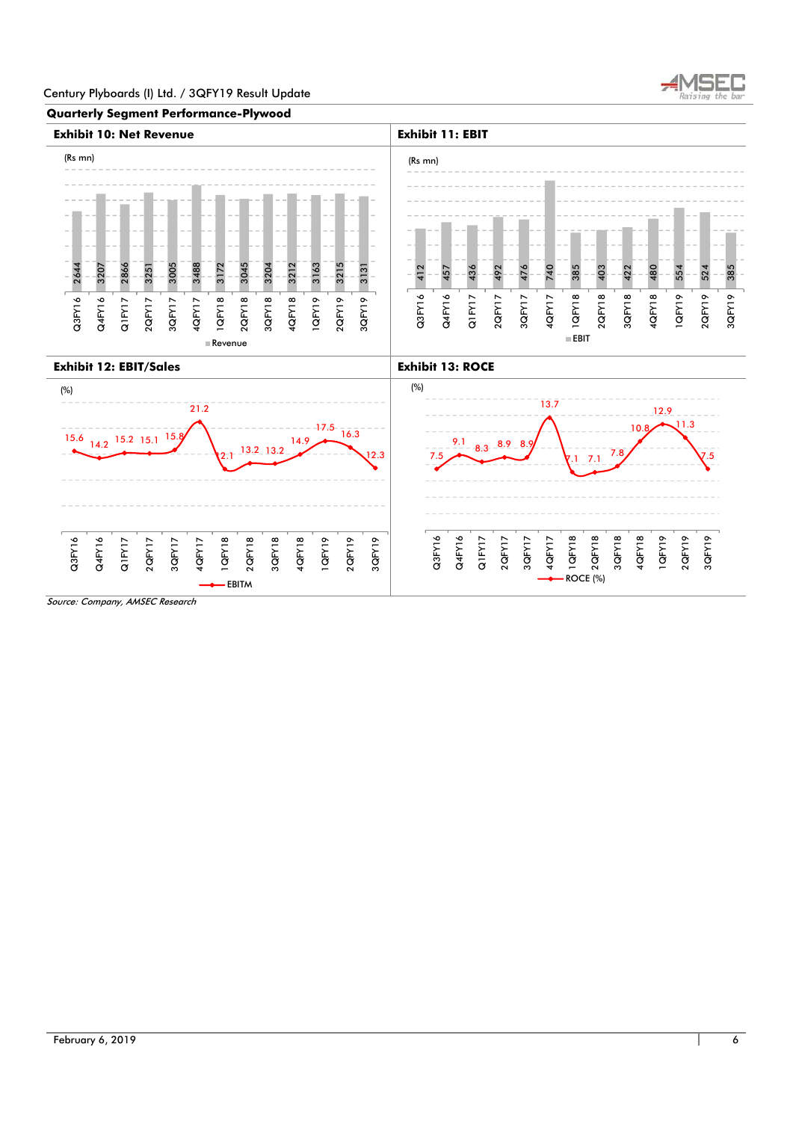

## **Quarterly Segment Performance-Plywood**

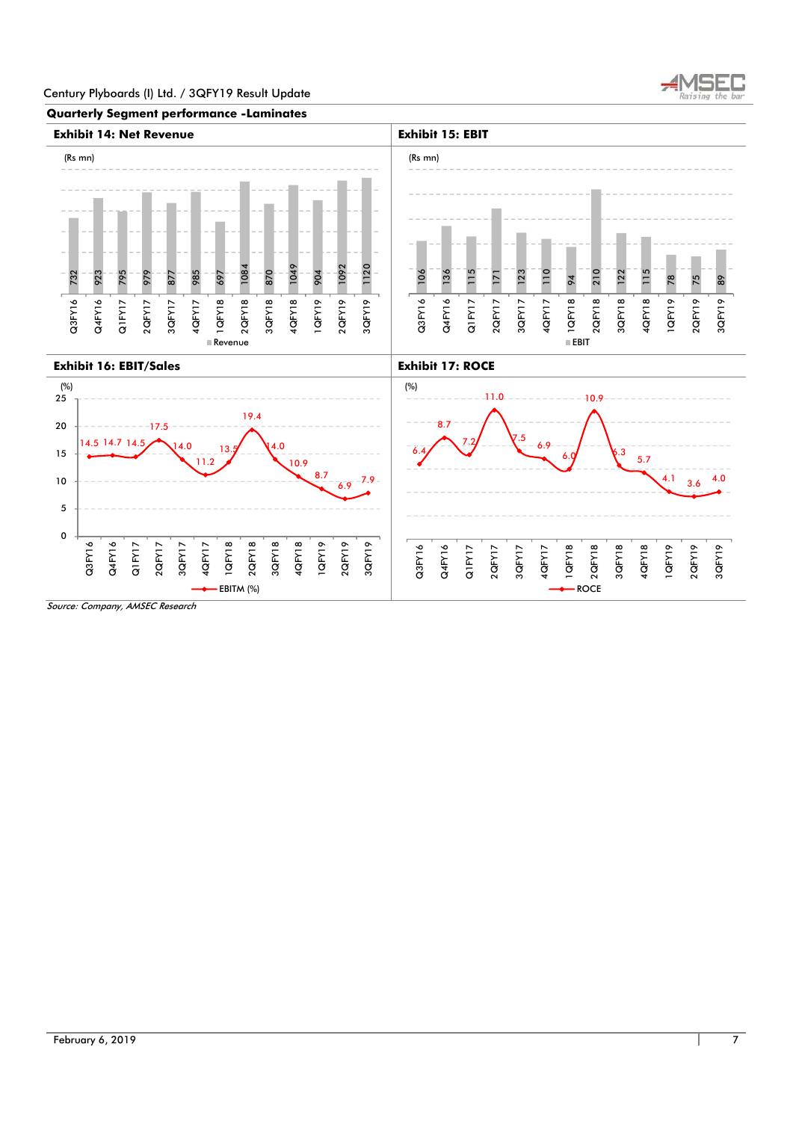

**Quarterly Segment performance -Laminates** 

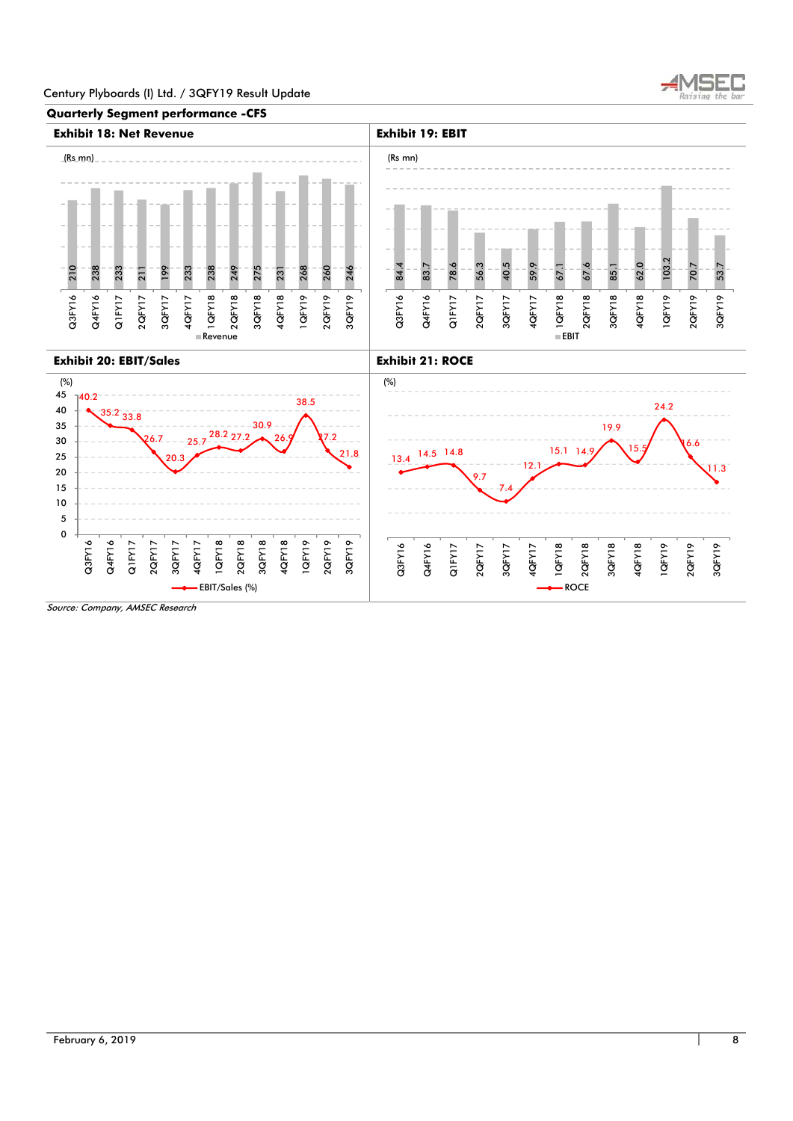



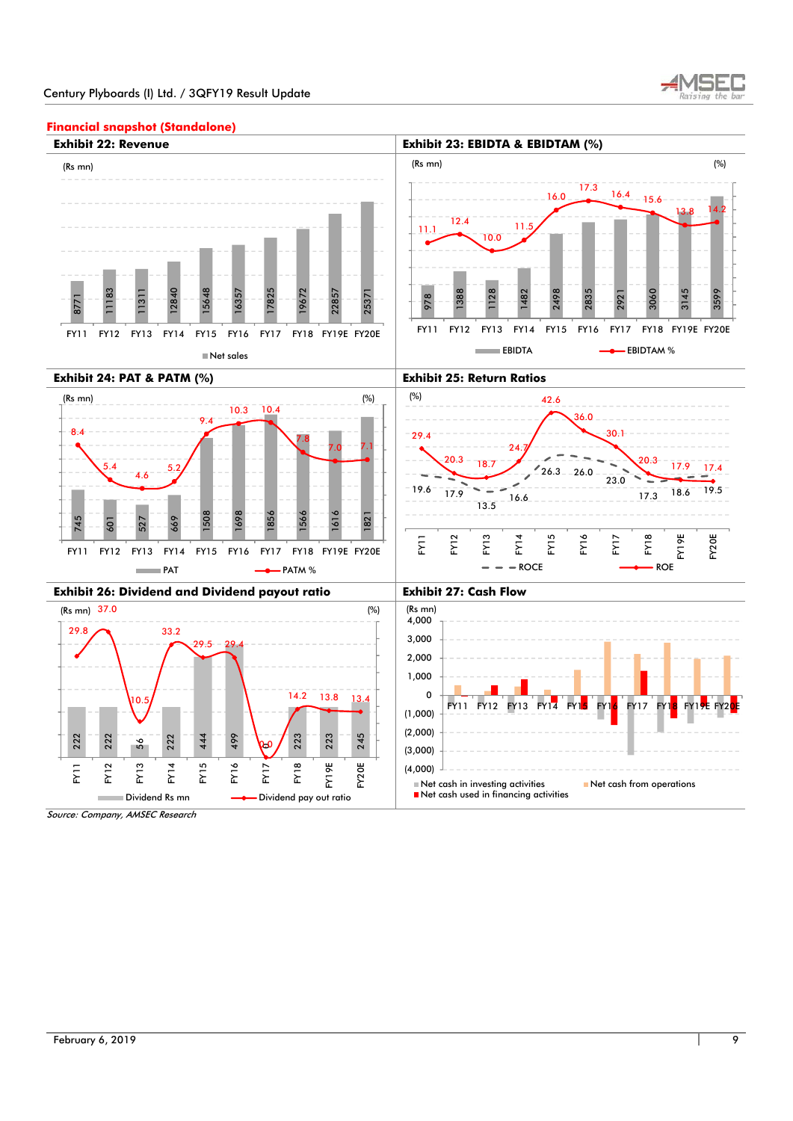



## **Financial snapshot (Standalone)**

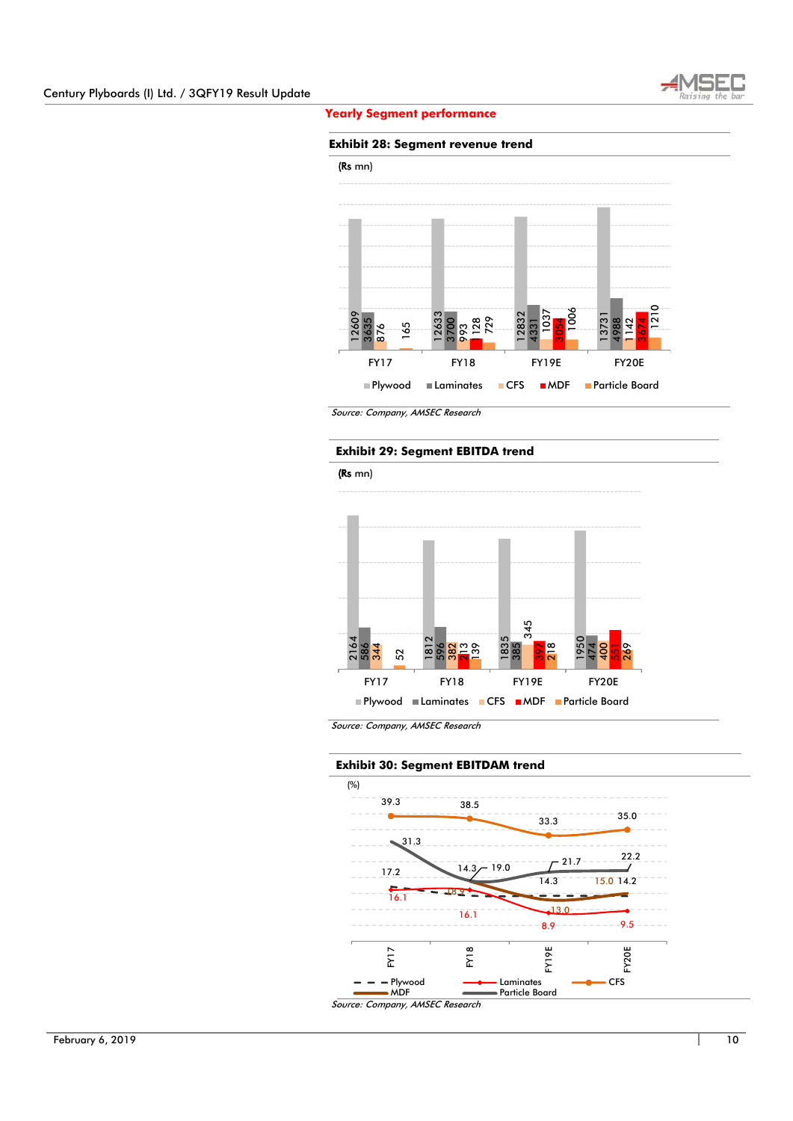

 **Yearly Segment performance** 

#### **Exhibit 28: Segment revenue trend**



Source: Company, AMSEC Research

## **Exhibit 29: Segment EBITDA trend**



Source: Company, AMSEC Research

# **Exhibit 30: Segment EBITDAM trend**

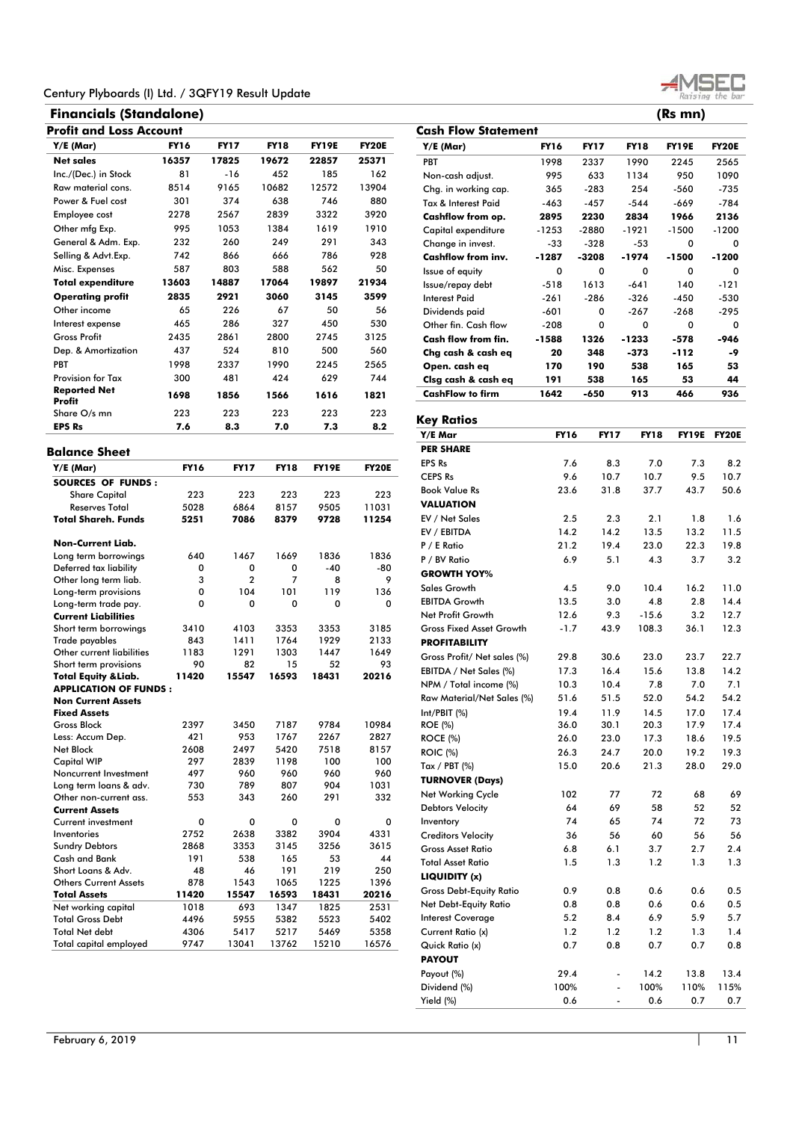# **Financials (Standalone) (Rs mn) Profit and Loss Account**

| Y/E (Mar)                                                                                                                                                                                                                                                                            | FY16        | FY 17          | FY18         | FY19E        | <b>FY20E</b> |
|--------------------------------------------------------------------------------------------------------------------------------------------------------------------------------------------------------------------------------------------------------------------------------------|-------------|----------------|--------------|--------------|--------------|
| <b>Net sales</b>                                                                                                                                                                                                                                                                     | 16357       | 17825          | 19672        | 22857        | 25371        |
| Inc./(Dec.) in Stock                                                                                                                                                                                                                                                                 | 81          | -16            | 452          | 185          | 162          |
| Raw material cons.                                                                                                                                                                                                                                                                   | 8514        | 9165           | 10682        | 12572        | 13904        |
| Power & Fuel cost                                                                                                                                                                                                                                                                    | 301         | 374            | 638          | 746          | 880          |
| Employee cost                                                                                                                                                                                                                                                                        | 2278        | 2567           | 2839         | 3322         | 3920         |
| Other mfg Exp.                                                                                                                                                                                                                                                                       | 995         | 1053           | 1384         | 1619         | 1910         |
| General & Adm. Exp.                                                                                                                                                                                                                                                                  | 232         | 260            | 249          | 291          | 343          |
| Selling & Advt.Exp.                                                                                                                                                                                                                                                                  | 742         | 866            | 666          | 786          | 928          |
| Misc. Expenses                                                                                                                                                                                                                                                                       | 587         | 803            | 588          | 562          | 50           |
| <b>Total expenditure</b>                                                                                                                                                                                                                                                             | 13603       | 14887          | 17064        | 19897        | 21934        |
| <b>Operating profit</b>                                                                                                                                                                                                                                                              | 2835        | 2921           | 3060         | 3145         | 3599         |
| Other income                                                                                                                                                                                                                                                                         | 65          | 226            | 67           | 50           | 56           |
|                                                                                                                                                                                                                                                                                      |             | 286            |              | 450          | 530          |
| Interest expense<br><b>Gross Profit</b>                                                                                                                                                                                                                                              | 465         |                | 327          |              |              |
|                                                                                                                                                                                                                                                                                      | 2435        | 2861           | 2800         | 2745         | 3125         |
| Dep. & Amortization                                                                                                                                                                                                                                                                  | 437         | 524            | 810          | 500          | 560          |
| PBT                                                                                                                                                                                                                                                                                  | 1998        | 2337           | 1990         | 2245         | 2565         |
| <b>Provision for Tax</b>                                                                                                                                                                                                                                                             | 300         | 481            | 424          | 629          | 744          |
| <b>Reported Net</b><br>Profit                                                                                                                                                                                                                                                        | 1698        | 1856           | 1566         | 1616         | 1821         |
| Share O/s mn                                                                                                                                                                                                                                                                         | 223         | 223            | 223          | 223          | 223          |
| <b>EPS Rs</b>                                                                                                                                                                                                                                                                        | 7.6         | 8.3            | 7.0          | 7.3          | 8.2          |
| <b>Balance Sheet</b>                                                                                                                                                                                                                                                                 |             |                |              |              |              |
| $Y/E$ (Mar)                                                                                                                                                                                                                                                                          | <b>FY16</b> | <b>FY17</b>    | <b>FY18</b>  | <b>FY19E</b> | <b>FY20E</b> |
| <b>SOURCES OF FUNDS:</b>                                                                                                                                                                                                                                                             |             |                |              |              |              |
| <b>Share Capital</b>                                                                                                                                                                                                                                                                 | 223         | 223            | 223          | 223          | 223          |
| <b>Reserves Total</b><br><b>Total Shareh. Funds</b>                                                                                                                                                                                                                                  | 5028        | 6864           | 8157         | 9505         | 11031        |
|                                                                                                                                                                                                                                                                                      | 5251        | 7086           | 8379         | 9728         | 11254        |
| Non-Current Liab.                                                                                                                                                                                                                                                                    |             |                |              |              |              |
| Long term borrowings                                                                                                                                                                                                                                                                 | 640         | 1467           | 1669         | 1836         | 1836         |
| Deferred tax liability                                                                                                                                                                                                                                                               | 0           | 0              | 0            | $-40$        | -80          |
| Other long term liab.                                                                                                                                                                                                                                                                | 3           | $\overline{2}$ | 7            | 8            | 9            |
| Long-term provisions<br>Long-term trade pay.                                                                                                                                                                                                                                         | 0<br>0      | 104<br>0       | 101<br>0     | 119<br>0     | 136<br>0     |
| <b>Current Liabilities</b>                                                                                                                                                                                                                                                           |             |                |              |              |              |
| Short term borrowings                                                                                                                                                                                                                                                                | 3410        | 4103           | 3353         | 3353         | 3185         |
| Trade payables                                                                                                                                                                                                                                                                       | 843         | 1411           | 1764         | 1929         | 2133         |
| Other current liabilities                                                                                                                                                                                                                                                            | 1183        | 1291           | 1303         | 1447         | 1649         |
| Short term provisions                                                                                                                                                                                                                                                                | 90          | 82             | 15           | 52           | 93           |
| <b>Total Equity &amp; Liab.</b>                                                                                                                                                                                                                                                      | 11420       | 15547          | 16593        | 18431        | 20216        |
| <b>APPLICATION OF FUNDS:</b>                                                                                                                                                                                                                                                         |             |                |              |              |              |
| <b>Non Current Assets</b>                                                                                                                                                                                                                                                            |             |                |              |              |              |
| <b>Fixed Assets</b>                                                                                                                                                                                                                                                                  |             |                |              |              |              |
|                                                                                                                                                                                                                                                                                      |             |                |              |              |              |
|                                                                                                                                                                                                                                                                                      | 2397        | 3450           | 7187         | 9784         | 10984        |
|                                                                                                                                                                                                                                                                                      | 421         | 953            | 1767         | 2267         | 2827         |
|                                                                                                                                                                                                                                                                                      | 2608        | 2497           | 5420         | 7518         | 8157         |
|                                                                                                                                                                                                                                                                                      | 297         | 2839           | 1198         | 100          | 100          |
|                                                                                                                                                                                                                                                                                      | 497         | 960            | 960          | 960          | 960          |
|                                                                                                                                                                                                                                                                                      | 730         | 789            | 807          | 904          | 1031         |
|                                                                                                                                                                                                                                                                                      | 553         | 343            | 260          | 291          | 332          |
|                                                                                                                                                                                                                                                                                      |             |                |              |              |              |
|                                                                                                                                                                                                                                                                                      | 0           | 0              | 0            | 0            | 0            |
|                                                                                                                                                                                                                                                                                      | 2752        | 2638           | 3382<br>3145 | 3904         | 4331         |
|                                                                                                                                                                                                                                                                                      | 2868<br>191 | 3353<br>538    | 165          | 3256<br>53   | 3615<br>44   |
| <b>Gross Block</b><br>Less: Accum Dep.<br>Net Block<br><b>Capital WIP</b><br>Noncurrent Investment<br>Long term loans & adv.<br>Other non-current ass.<br><b>Current Assets</b><br>Current investment<br>Inventories<br><b>Sundry Debtors</b><br>Cash and Bank<br>Short Loans & Adv. | 48          | 46             | 191          | 219          | 250          |
|                                                                                                                                                                                                                                                                                      | 878         | 1543           | 1065         | 1225         | 1396         |
|                                                                                                                                                                                                                                                                                      | 11420       | 15547          | 16593        | 18431        | 20216        |
| <b>Others Current Assets</b><br><b>Total Assets</b><br>Net working capital                                                                                                                                                                                                           | 1018        | 693            | 1347         | 1825         | 2531         |
| <b>Total Gross Debt</b>                                                                                                                                                                                                                                                              | 4496        | 5955           | 5382         | 5523         | 5402         |
| <b>Total Net debt</b><br>Total capital employed                                                                                                                                                                                                                                      | 4306        | 5417           | 5217         | 5469         | 5358         |

| <b>Cash Flow Statement</b>                        |                   |                          |                |              |              |
|---------------------------------------------------|-------------------|--------------------------|----------------|--------------|--------------|
| Y/E (Mar)                                         | <b>FY16</b>       | <b>FY17</b>              | <b>FY18</b>    | <b>FY19E</b> | <b>FY20E</b> |
| PBT                                               | 1998              | 2337                     | 1990           | 2245         | 2565         |
| Non-cash adjust.                                  | 995               | 633                      | 1134           | 950          | 1090         |
| Chg. in working cap.                              | 365               | $-283$                   | 254            | $-560$       | $-735$       |
| Tax & Interest Paid                               | $-463$            | $-457$                   | $-544$         | -669         | $-784$       |
| Cashflow from op.                                 | 2895              | 2230                     | 2834           | 1966         | 2136         |
| Capital expenditure                               | $-1253$           | $-2880$                  | $-1921$        | $-1500$      | -1200        |
| Change in invest.                                 | -33               | -328                     | $-53$          | 0            | 0            |
| <b>Cashflow from inv.</b>                         | -1287             | -3208                    | -1974          | -1500        | -1200        |
| Issue of equity                                   | 0                 | 0                        | 0              | 0            | 0            |
| Issue/repay debt                                  | $-518$            | 1613                     | $-641$         | 140          | -121         |
| <b>Interest Paid</b>                              | $-261$            | $-286$                   | $-326$         | $-450$       | -530         |
| Dividends paid                                    | -601              | 0                        | $-267$         | $-268$       | $-295$       |
| Other fin. Cash flow<br>Cash flow from fin.       | $-208$<br>$-1588$ | 0<br>1326                | 0<br>-1233     | 0<br>-578    | 0<br>-946    |
| Chg cash & cash eq                                | 20                | 348                      | -373           | -112         | -9           |
| Open. cash eq                                     | 170               | 190                      | 538            | 165          | 53           |
| Clsg cash & cash eq                               | 191               | 538                      | 165            | 53           | 44           |
| <b>CashFlow to firm</b>                           | 1642              | $-650$                   | 913            | 466          | 936          |
|                                                   |                   |                          |                |              |              |
| <b>Key Ratios</b>                                 |                   |                          |                |              |              |
| Y/E Mar                                           | <b>FY16</b>       | <b>FY17</b>              | <b>FY18</b>    | <b>FY19E</b> | <b>FY20E</b> |
| <b>PER SHARE</b>                                  |                   |                          |                |              |              |
| <b>EPS Rs</b>                                     | 7.6               | 8.3                      | 7.0            | 7.3          | 8.2          |
| <b>CEPS Rs</b>                                    | 9.6               | 10.7                     | 10.7           | 9.5          | 10.7         |
| <b>Book Value Rs</b>                              | 23.6              | 31.8                     | 37.7           | 43.7         | 50.6         |
| <b>VALUATION</b>                                  |                   |                          |                |              |              |
| EV / Net Sales                                    | 2.5               | 2.3                      | 2.1            | 1.8          | 1.6          |
| EV / EBITDA                                       | 14.2              | 14.2                     | 13.5           | 13.2         | 11.5         |
| P / E Ratio                                       | 21.2              | 19.4                     | 23.0           | 22.3         | 19.8         |
| P / BV Ratio                                      | 6.9               | 5.1                      | 4.3            | 3.7          | 3.2          |
| <b>GROWTH YOY%</b>                                |                   |                          |                |              |              |
| <b>Sales Growth</b>                               | 4.5               | 9.0                      | 10.4           | 16.2         | 11.0         |
| <b>EBITDA Growth</b><br>Net Profit Growth         | 13.5<br>12.6      | 3.0<br>9.3               | 4.8<br>$-15.6$ | 2.8<br>3.2   | 14.4         |
| <b>Gross Fixed Asset Growth</b>                   | $-1.7$            | 43.9                     | 108.3          | 36.1         | 12.7<br>12.3 |
| <b>PROFITABILITY</b>                              |                   |                          |                |              |              |
| Gross Profit/ Net sales (%)                       | 29.8              | 30.6                     | 23.0           | 23.7         | 22.7         |
| EBITDA / Net Sales (%)                            | 17.3              | 16.4                     | 15.6           | 13.8         | 14.2         |
| NPM / Total income (%)                            | 10.3              | 10.4                     | 7.8            | 7.0          | 7.1          |
| Raw Material/Net Sales (%)                        | 51.6              | 51.5                     | 52.0           | 54.2         | 54.2         |
| Int/PBIT (%)                                      | 19.4              | 11.9                     | 14.5           | 17.0         | 17.4         |
| <b>ROE</b> (%)                                    | 36.0              | 30.1                     | 20.3           | 17.9         | 17.4         |
| <b>ROCE (%)</b>                                   | 26.0              | 23.0                     | 17.3           | 18.6         | 19.5         |
| <b>ROIC (%)</b>                                   | 26.3              | 24.7                     | 20.0           | 19.2         | 19.3         |
| Tax / PBT $(\%)$                                  | 15.0              | 20.6                     | 21.3           | 28.0         | 29.0         |
| <b>TURNOVER (Days)</b>                            |                   |                          |                |              |              |
| <b>Net Working Cycle</b>                          | 102               | 77                       | 72             | 68           | 69           |
| <b>Debtors Velocity</b>                           | 64                | 69                       | 58             | 52           | 52           |
| Inventory                                         | 74                | 65                       | 74             | 72           | 73           |
| <b>Creditors Velocity</b>                         | 36                | 56                       | 60             | 56           | 56           |
| <b>Gross Asset Ratio</b>                          | 6.8               | 6.1                      | 3.7            | 2.7          | 2.4          |
| <b>Total Asset Ratio</b>                          | 1.5               | 1.3                      | 1.2            | 1.3          | 1.3          |
| LIQUIDITY (x)                                     |                   |                          |                |              |              |
| <b>Gross Debt-Equity Ratio</b>                    | 0.9               | 0.8                      | 0.6            | 0.6          | 0.5          |
| Net Debt-Equity Ratio<br><b>Interest Coverage</b> | 0.8<br>5.2        | 0.8<br>8.4               | 0.6<br>6.9     | 0.6<br>5.9   | 0.5<br>5.7   |
| Current Ratio (x)                                 | 1.2               | 1.2                      | 1.2            | 1.3          | 1.4          |
| Quick Ratio (x)                                   | 0.7               | 0.8                      | 0.7            | 0.7          | 0.8          |
| <b>PAYOUT</b>                                     |                   |                          |                |              |              |
| Payout (%)                                        | 29.4              | $\overline{\phantom{0}}$ | 14.2           | 13.8         | 13.4         |
| Dividend (%)                                      | 100%              | -                        | 100%           | 110%         | 115%         |
| Yield (%)                                         | 0.6               |                          | 0.6            | 0.7          | 0.7          |



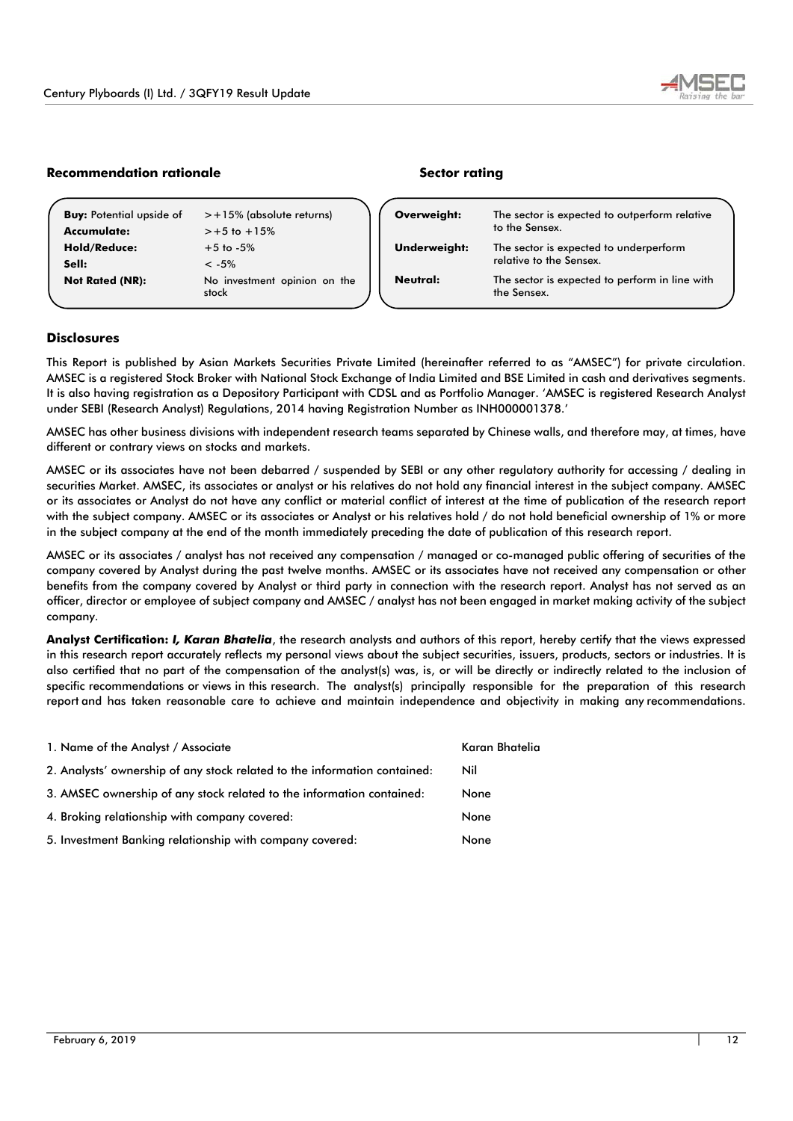

# **Recommendation rationale Sector rating**

| <b>Buy:</b> Potential upside of | $> +15\%$ (absolute returns)          | Overweight:         | The sector is expected to outperform relative                 |
|---------------------------------|---------------------------------------|---------------------|---------------------------------------------------------------|
| Accumulate:                     | $> +5$ to $+15%$                      |                     | to the Sensex.                                                |
| <b>Hold/Reduce:</b>             | $+5$ to $-5\%$                        | <b>Underweight:</b> | The sector is expected to underperform                        |
| Sell:                           | $< -5\%$                              |                     | relative to the Sensex.                                       |
| <b>Not Rated (NR):</b>          | No investment opinion on the<br>stock | Neutral:            | The sector is expected to perform in line with<br>the Sensex. |

## **Disclosures**

This Report is published by Asian Markets Securities Private Limited (hereinafter referred to as "AMSEC") for private circulation. AMSEC is a registered Stock Broker with National Stock Exchange of India Limited and BSE Limited in cash and derivatives segments. It is also having registration as a Depository Participant with CDSL and as Portfolio Manager. 'AMSEC is registered Research Analyst under SEBI (Research Analyst) Regulations, 2014 having Registration Number as INH000001378.'

AMSEC has other business divisions with independent research teams separated by Chinese walls, and therefore may, at times, have different or contrary views on stocks and markets.

AMSEC or its associates have not been debarred / suspended by SEBI or any other regulatory authority for accessing / dealing in securities Market. AMSEC, its associates or analyst or his relatives do not hold any financial interest in the subject company. AMSEC or its associates or Analyst do not have any conflict or material conflict of interest at the time of publication of the research report with the subject company. AMSEC or its associates or Analyst or his relatives hold / do not hold beneficial ownership of 1% or more in the subject company at the end of the month immediately preceding the date of publication of this research report.

AMSEC or its associates / analyst has not received any compensation / managed or co-managed public offering of securities of the company covered by Analyst during the past twelve months. AMSEC or its associates have not received any compensation or other benefits from the company covered by Analyst or third party in connection with the research report. Analyst has not served as an officer, director or employee of subject company and AMSEC / analyst has not been engaged in market making activity of the subject company.

**Analyst Certification:** *I, Karan Bhatelia*, the research analysts and authors of this report, hereby certify that the views expressed in this research report accurately reflects my personal views about the subject securities, issuers, products, sectors or industries. It is also certified that no part of the compensation of the analyst(s) was, is, or will be directly or indirectly related to the inclusion of specific recommendations or views in this research. The analyst(s) principally responsible for the preparation of this research report and has taken reasonable care to achieve and maintain independence and objectivity in making any recommendations.

| 1. Name of the Analyst / Associate                                        | Karan Bhatelia |
|---------------------------------------------------------------------------|----------------|
| 2. Analysts' ownership of any stock related to the information contained: | Nil            |
| 3. AMSEC ownership of any stock related to the information contained:     | None           |
| 4. Broking relationship with company covered:                             | None           |
| 5. Investment Banking relationship with company covered:                  | None           |